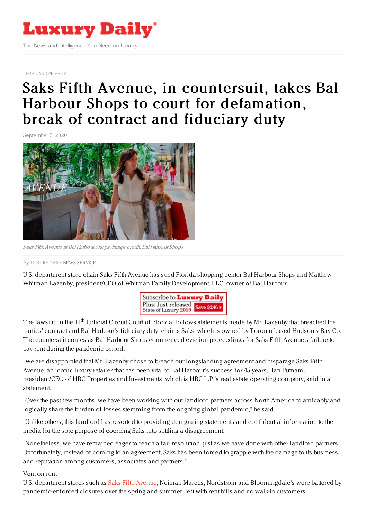

LEGAL AND [PRIVACY](https://www.luxurydaily.com/category/sectors/legal-and-privacy/)

## Saks Fifth Avenue, in [countersuit,](https://www.luxurydaily.com/?p=312221) takes Bal Harbour Shops to court for defamation, break of contract and fiduciary duty

September 3, 2020



Saks FifthAvenue at Bal Harbour Shops. Image credit: Bal Harbour Shops

By LUXURY DAILY NEWS [SERVICE](file:///author/luxury-daily-news-service)

U.S. department store chain Saks Fifth Avenue has sued Florida shopping center Bal Harbour Shops and Matthew Whitman Lazenby, president/CEO of Whitman Family Development, LLC, owner of Bal Harbour.



The lawsuit, in the 11<sup>th</sup> Judicial Circuit Court of Florida, follows statements made by Mr. Lazenby that breached the parties' contract and Bal Harbour's fiduciary duty, claims Saks, which is owned by Toronto-based Hudson's Bay Co. The countersuit comes as Bal Harbour Shops commenced eviction proceedings for Saks Fifth Avenue's failure to pay rent during the pandemic period.

"We are disappointed that Mr. Lazenby chose to breach our longstanding agreement and disparage Saks Fifth Avenue, an iconic luxury retailer that has been vital to Bal Harbour's success for 45 years," Ian Putnam, president/CEO of HBC Properties and Investments, which is HBC L.P.'s real estate operating company, said in a statement.

"Over the past few months, we have been working with our landlord partners across North America to amicably and logically share the burden of losses stemming from the ongoing global pandemic," he said.

"Unlike others, this landlord has resorted to providing denigrating statements and confidential information to the media for the sole purpose of coercing Saks into settling a disagreement.

"Nonetheless, we have remained eager to reach a fair resolution, just as we have done with other landlord partners. Unfortunately, instead of coming to an agreement, Saks has been forced to grapple with the damage to its business and reputation among customers, associates and partners."

Vent on rent

U.S. department stores such as Saks Fifth [Avenue](https://www.balharbourshops.com/store-directory/saks-fifth-avenue/), Neiman Marcus, Nordstrom and Bloomingdale's were battered by pandemic-enforced closures over the spring and summer, left with rent bills and no walk-in customers.